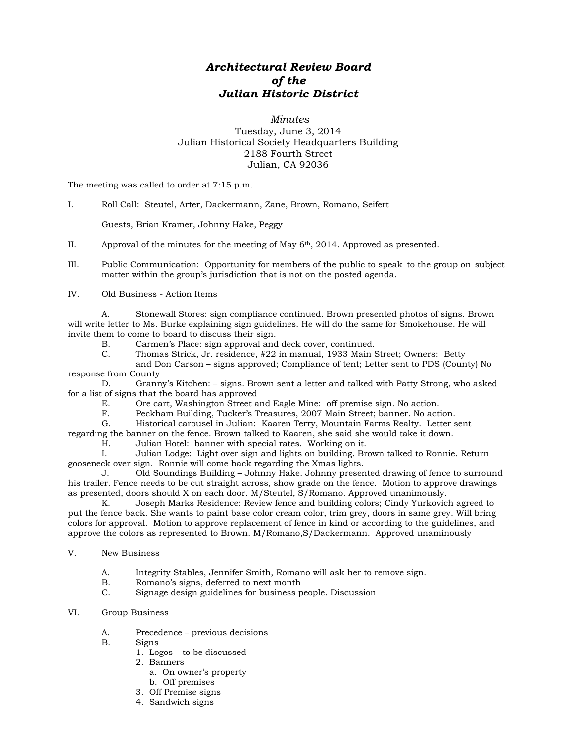## *Architectural Review Board of the Julian Historic District*

## *Minutes* Tuesday, June 3, 2014 Julian Historical Society Headquarters Building 2188 Fourth Street Julian, CA 92036

The meeting was called to order at 7:15 p.m.

I. Roll Call: Steutel, Arter, Dackermann, Zane, Brown, Romano, Seifert

Guests, Brian Kramer, Johnny Hake, Peggy

II. Approval of the minutes for the meeting of May 6th, 2014. Approved as presented.

III. Public Communication: Opportunity for members of the public to speak to the group on subject matter within the group's jurisdiction that is not on the posted agenda.

IV. Old Business - Action Items

A. Stonewall Stores: sign compliance continued. Brown presented photos of signs. Brown will write letter to Ms. Burke explaining sign guidelines. He will do the same for Smokehouse. He will invite them to come to board to discuss their sign.

B. Carmen's Place: sign approval and deck cover, continued.<br>C. Thomas Strick. Jr. residence. #22 in manual. 1933 Main S.

C. Thomas Strick, Jr. residence, #22 in manual, 1933 Main Street; Owners: Betty

and Don Carson – signs approved; Compliance of tent; Letter sent to PDS (County) No response from County

D. Granny's Kitchen: – signs. Brown sent a letter and talked with Patty Strong, who asked for a list of signs that the board has approved

E. Ore cart, Washington Street and Eagle Mine: off premise sign. No action.<br>F. Peckham Building. Tucker's Treasures. 2007 Main Street: banner. No action.

Peckham Building, Tucker's Treasures, 2007 Main Street; banner. No action.

G. Historical carousel in Julian: Kaaren Terry, Mountain Farms Realty. Letter sent

regarding the banner on the fence. Brown talked to Kaaren, she said she would take it down.

H. Julian Hotel: banner with special rates. Working on it.

I. Julian Lodge: Light over sign and lights on building. Brown talked to Ronnie. Return gooseneck over sign. Ronnie will come back regarding the Xmas lights.

J. Old Soundings Building – Johnny Hake. Johnny presented drawing of fence to surround his trailer. Fence needs to be cut straight across, show grade on the fence. Motion to approve drawings as presented, doors should X on each door. M/Steutel, S/Romano. Approved unanimously.

Joseph Marks Residence: Review fence and building colors; Cindy Yurkovich agreed to put the fence back. She wants to paint base color cream color, trim grey, doors in same grey. Will bring colors for approval. Motion to approve replacement of fence in kind or according to the guidelines, and approve the colors as represented to Brown. M/Romano,S/Dackermann. Approved unaminously

- V. New Business
	- A. Integrity Stables, Jennifer Smith, Romano will ask her to remove sign.
	- B. Romano's signs, deferred to next month<br>C. Signage design guidelines for business p
	- Signage design guidelines for business people. Discussion

## VI. Group Business

- A. Precedence previous decisions
- B. Signs
	- 1. Logos to be discussed
	- 2. Banners
		- a. On owner's property
	- b. Off premises
	- 3. Off Premise signs
	- 4. Sandwich signs